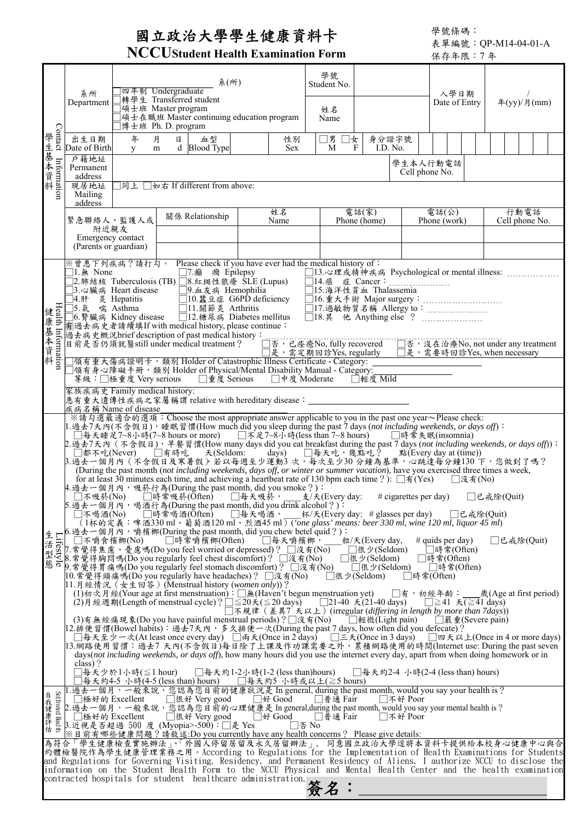## 國立政治大學學生健康資料卡

學號條碼: 表單編號:QP-M14-04-01-A

|                            |                                                                                                                                                                                                                                                                                                                                                                                                                                                                                                                                                                                                                                                                                                                                                                                                                                                                                                                                                                                                                                                                                                                                                                                                                                                                                                                                                                                                                                                                                                                                                                                                                                                                                                                                                                                                                                                                                                                                                                                                                                                                                                                                                                                                                                                                                                                                                                                                                                                                                                                                                                                         |                                  | <b>INCCLUStudent Health Examination Form</b>                                                                                                                                                                                                                                                                                                                                                                                                                                                                                                                                                                                                                                                                                                                                                                                 |                                            | 保存年限:7年                                              |                   |                                                                                                              |                                                                                                       |  |  |  |  |  |  |  |
|----------------------------|-----------------------------------------------------------------------------------------------------------------------------------------------------------------------------------------------------------------------------------------------------------------------------------------------------------------------------------------------------------------------------------------------------------------------------------------------------------------------------------------------------------------------------------------------------------------------------------------------------------------------------------------------------------------------------------------------------------------------------------------------------------------------------------------------------------------------------------------------------------------------------------------------------------------------------------------------------------------------------------------------------------------------------------------------------------------------------------------------------------------------------------------------------------------------------------------------------------------------------------------------------------------------------------------------------------------------------------------------------------------------------------------------------------------------------------------------------------------------------------------------------------------------------------------------------------------------------------------------------------------------------------------------------------------------------------------------------------------------------------------------------------------------------------------------------------------------------------------------------------------------------------------------------------------------------------------------------------------------------------------------------------------------------------------------------------------------------------------------------------------------------------------------------------------------------------------------------------------------------------------------------------------------------------------------------------------------------------------------------------------------------------------------------------------------------------------------------------------------------------------------------------------------------------------------------------------------------------------|----------------------------------|------------------------------------------------------------------------------------------------------------------------------------------------------------------------------------------------------------------------------------------------------------------------------------------------------------------------------------------------------------------------------------------------------------------------------------------------------------------------------------------------------------------------------------------------------------------------------------------------------------------------------------------------------------------------------------------------------------------------------------------------------------------------------------------------------------------------------|--------------------------------------------|------------------------------------------------------|-------------------|--------------------------------------------------------------------------------------------------------------|-------------------------------------------------------------------------------------------------------|--|--|--|--|--|--|--|
|                            | 系所<br>Department                                                                                                                                                                                                                                                                                                                                                                                                                                                                                                                                                                                                                                                                                                                                                                                                                                                                                                                                                                                                                                                                                                                                                                                                                                                                                                                                                                                                                                                                                                                                                                                                                                                                                                                                                                                                                                                                                                                                                                                                                                                                                                                                                                                                                                                                                                                                                                                                                                                                                                                                                                        |                                  | 系(所)<br>四年制 Undergraduate<br> 轉學生 Transferred student<br> 碩士班 Master program<br>]碩士在職班 Master continuing education program<br>]博士班 Ph. D. program                                                                                                                                                                                                                                                                                                                                                                                                                                                                                                                                                                                                                                                                            |                                            | 學號<br>Student No.<br>姓名<br>Name                      |                   | 入學日期<br>Date of Entry                                                                                        | 年(yy)/月(mm)                                                                                           |  |  |  |  |  |  |  |
| Contact                    | 出生日期<br>Date of Birth                                                                                                                                                                                                                                                                                                                                                                                                                                                                                                                                                                                                                                                                                                                                                                                                                                                                                                                                                                                                                                                                                                                                                                                                                                                                                                                                                                                                                                                                                                                                                                                                                                                                                                                                                                                                                                                                                                                                                                                                                                                                                                                                                                                                                                                                                                                                                                                                                                                                                                                                                                   | 年<br>y                           | 月<br>日<br>血型<br>d Blood Type<br>m                                                                                                                                                                                                                                                                                                                                                                                                                                                                                                                                                                                                                                                                                                                                                                                            | 性別<br><b>Sex</b>                           | □男 □女<br>M<br>F                                      | 身分證字號<br>I.D. No. |                                                                                                              |                                                                                                       |  |  |  |  |  |  |  |
| 學生基本資料<br>Information      | 戶籍地址<br>學生本人行動電話<br>Permanent<br>Cell phone No.<br>address<br>現居地址<br>□同上 □如右 If different from above:<br>Mailing<br>address<br>電話(家)<br>行動電話<br>姓名<br>電話(公)                                                                                                                                                                                                                                                                                                                                                                                                                                                                                                                                                                                                                                                                                                                                                                                                                                                                                                                                                                                                                                                                                                                                                                                                                                                                                                                                                                                                                                                                                                                                                                                                                                                                                                                                                                                                                                                                                                                                                                                                                                                                                                                                                                                                                                                                                                                                                                                                                            |                                  |                                                                                                                                                                                                                                                                                                                                                                                                                                                                                                                                                                                                                                                                                                                                                                                                                              |                                            |                                                      |                   |                                                                                                              |                                                                                                       |  |  |  |  |  |  |  |
|                            | 緊急聯絡人、監護人或<br>附近親友<br>(Parents or guardian)                                                                                                                                                                                                                                                                                                                                                                                                                                                                                                                                                                                                                                                                                                                                                                                                                                                                                                                                                                                                                                                                                                                                                                                                                                                                                                                                                                                                                                                                                                                                                                                                                                                                                                                                                                                                                                                                                                                                                                                                                                                                                                                                                                                                                                                                                                                                                                                                                                                                                                                                             | Emergency contact                | 關係 Relationship                                                                                                                                                                                                                                                                                                                                                                                                                                                                                                                                                                                                                                                                                                                                                                                                              | Name                                       |                                                      | Phone (home)      | Phone (work)                                                                                                 | Cell phone No.                                                                                        |  |  |  |  |  |  |  |
| 健康基本資料                     | 1. $\text{A}$ None<br>75. 氣<br>家族疾病史 Family medical history:                                                                                                                                                                                                                                                                                                                                                                                                                                                                                                                                                                                                                                                                                                                                                                                                                                                                                                                                                                                                                                                                                                                                                                                                                                                                                                                                                                                                                                                                                                                                                                                                                                                                                                                                                                                                                                                                                                                                                                                                                                                                                                                                                                                                                                                                                                                                                                                                                                                                                                                            | 喘 Asthma<br>等級:□極重度 Very serious | ※曾患下列疾病?請打勾。 Please check if you have ever had the medical history of:<br>□7.癲癇 Epilepsy<br>]2.肺結核 Tuberculosis(TB)□8.紅斑性狼瘡 SLE(Lupus)<br>13.心臟病 Heart disease → □9.血友病 Hemophilia<br>□11.關節炎 Arthritis<br>□6.腎臟病 Kidney disease □12.糖尿病 Diabetes mellitus<br>有過去病史者請續填If with medical history, please continue:<br>過去病史概況brief description of past medical history:<br>目前是否仍須就醫still under medical treatment?<br> 領有重大傷病證明卡, 類別 Holder of Catastrophic Illness Certificate - Category:<br> 領有身心障礙手冊,類別 Holder of Physical/Mental Disability Manual - Category:_                                                                                                                                                                                                                                                             | □重度 Serious □中度 Moderate                   | □14.癌 症 Cancer:<br>□15.海洋性貧血 Thalassemia             | □輕度 Mild          | .<br>□16.重大手術 Major surgery:<br>□17.過敏物質名稱 Allergy to:<br>□是,需定期回診Yes, regularly □是,需要時回診Yes, when necessary |                                                                                                       |  |  |  |  |  |  |  |
|                            | 患有重大遺傳性疾病之家屬稱謂 relative with hereditary disease:______________<br>疾病名稱 Name of disease<br>※請勾選最適合的選項:Choose the most appropriate answer applicable to you in the past one year~Please check:<br>1.過去7天內(不含假日),睡眠習慣(How much did you sleep during the past 7 days (not including weekends, or days off):<br>□每天睡足7~8小時(7~8 hours or more)  □不足7~8小時(less than 7~8 hours)  □時常失眠(insomnia)<br>3. 過去一個月內 (不含假日及寒暑假) 若以每週至少運動3次, 每次至少30分鐘為基準, 心跳達每分鐘130 下, 您做到了嗎?<br>(During the past month (not including weekends, days off, or winter or summer vacation), have you exercised three times a week,<br>for at least 30 minutes each time, and achieving a heartbeat rate of 130 bpm each time ?): $\Box \vec{\pi}$ (Yes)<br>   沒有(No)<br>4.過去一個月內,吸菸行為(During the past month, did you smoke ?):<br>□不吸菸(No) □時常吸菸(Ōften) □每天吸菸,  支/天(Every day:<br>$\#$ cigarettes per day)<br>□已戒除(Quit)<br>5.過去一個月內,喝酒行為(During the past month, did you drink alcohol ?):<br>□不喝酒(No) □時常喝酒(Often)<br>□每天喝酒,<br>杯/天(Every day: # glasses per day) □已戒除(Quit)<br>(1杯的定義:啤酒330 ml、葡萄酒120 ml、烈酒45 ml) (one glass' means: beer 330 ml, wine 120 ml, liquor 45 ml)<br>生 List Time To High The past month, did you chew betel quid ?) :<br>活 List Difference The Time The past month, did you chew betel quid ?) :<br>活 Difference The Time The Time The Time The Time The Time The Time The Time The Tim<br># quids per day)<br>□已戒除(Quit)<br>□時常(Often)<br>□時常(Often)<br>i<br>應 ο β 常覺得胃痛嗎(Do you regularly feel stomach discomfort)? □没有(No) □ □很少(Seldom) □ □時常(Often)<br> 10.常覺得頭痛嗎(Do you regularly have headaches)? □沒有(No)<br>□很少(Seldom)<br>□時常(Often)<br>11.月經情況 (女生回答) (Menstrual history (women only))?<br>(1)初次月經(Your age at first menstruation): □無(Haven't begun menstruation yet)   □有,初經年齡:__歲(Age at first period)<br>(2)月經週期(Length of menstrual cycle)? $\Box \leq 20 \star (\leq 20 \text{ days})$ $\Box$ 21-40 $\star$ (21-40 days)<br>$\Box$ ≥41 $\overline{f}$ (≥41 days)<br>□不規律(差異7 天以上)(irregular (differing in length by more than 7days))<br>(3)有無經痛現象(Do you have painful menstrual periods)?□沒有(No)  □輕微(Light pain)<br>□嚴重(Severe pain)<br> 12.排便習慣(Bowel habits): 過去7天內, 多久排便一次(During the past 7 days, how often did you defecate)?<br>□每天至少一次(At least once every day) □雨天(Once in 2 days) □三天(Once in 3 days) □四天以上(Once in 4 or more days)<br> 13.網路使用習慣:過去7 天內(不含假日)每日除了上課及作功課需要之外,累積網路使用的時間(Internet use: During the past seven<br>days (not including weekends, or days off), how many hours did you use the internet every day, apart from when doing homework or in |                                  |                                                                                                                                                                                                                                                                                                                                                                                                                                                                                                                                                                                                                                                                                                                                                                                                                              |                                            |                                                      |                   |                                                                                                              |                                                                                                       |  |  |  |  |  |  |  |
| Selfrated Health<br>自我健康評估 | class)?<br>□極好的 Excellent                                                                                                                                                                                                                                                                                                                                                                                                                                                                                                                                                                                                                                                                                                                                                                                                                                                                                                                                                                                                                                                                                                                                                                                                                                                                                                                                                                                                                                                                                                                                                                                                                                                                                                                                                                                                                                                                                                                                                                                                                                                                                                                                                                                                                                                                                                                                                                                                                                                                                                                                                               | 「每天少於1小時(≦1 hour)                | □每天約4-5 小時(4-5(less than) hours)   □每天約5 小時或以上(≧5 hours)<br>1.過去一個月,一般來說,您認為您目前的健康狀況是 In general, during the past month, would you say your health is?<br>□很好 Very good □好 Good<br>2.過去一個月,一般來說,您認為您目前的心理健康是 In general,during the past month, would you say your mental health is ?<br>□極好的 Excellent □很好 Very good<br>β.近視是否超過 500 度 (Myopia>-500): □是 Yes<br>※ 目前有哪些健康問題? 請敘述:Do you currently have any health concerns? Please give details:<br>為符合「學生健康檢查實施辦法」、「外國人停留居留及永久居留辦法」,同意國立政治大學逕將本資料卡提供給本校身心健康中心與合<br>and Regulations for Governing Visiting, Residency, and Permanent Residency of Aliens, I authorize NCCU to disclose the<br>information on the Student Health Form to the NCCU Physical and Mental Health Center and the health examination<br>contracted hospitals for student healthcare administration. | □每天約1-2小時(1-2 (less than)hours)<br>□好 Good | □普通 Fair<br>□普通 Fair<br>$\square$ $\overline{25}$ No |                   | □每天約2-4 小時(2-4 (less than) hours)<br>   不好 Poor<br>□不好 Poor                                                  | 約體檢醫院作為學生健康管理業務之用。According to Regulations for the Implementation of Health Examinations for Students |  |  |  |  |  |  |  |